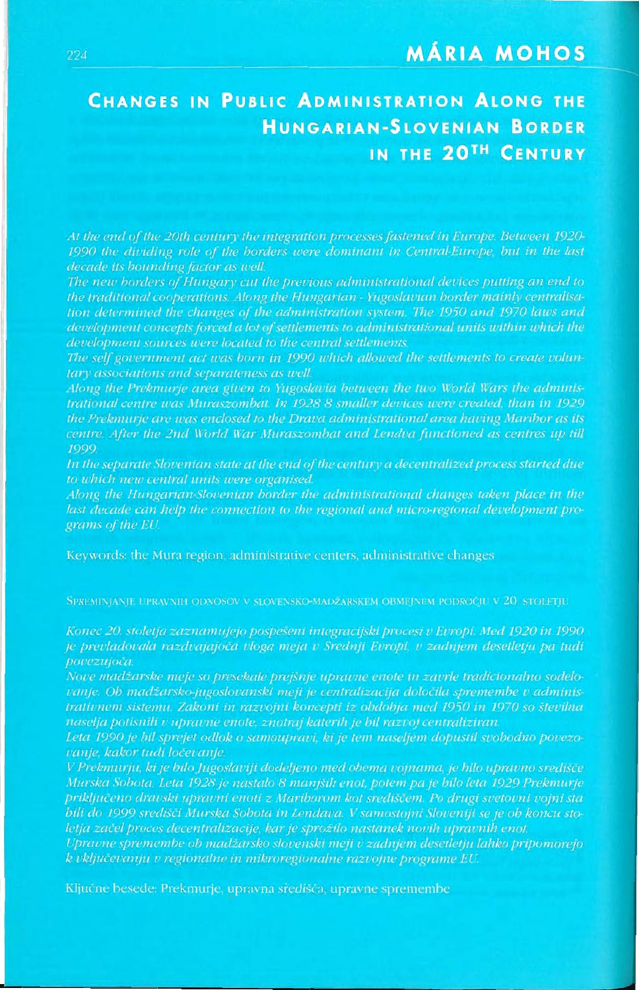## **MÁRIA MOHOS**

# **CHANGES IN PUBLIC ADMINISTRATION ALONG THE HUNGARIAN-SLOVENIAN BORDER** IN THE 20TH CENTURY

At the end of the 20th century the integration processes fastened in Europe. Between 1920-1990 the dividing role of the borders were dominant in Central-Europe, but in the last decade its bounding factor as well.

The new borders of Hungary cut the previous administrational devices putting an end to the traditional cooperations. Along the Hungarian - Yugoslavian border mainly centralisa $development concepts forced a lot of settings to administrational units within which the$ development sources were located to the central settlements.

The self government act was born in 1990 which allowed the settlements to create volunfary associations and separateness as well.

Along the Prekmurje area given to Yugoslavia between the two World Wars the adminis-Irational centre was Muraszombat. In 1928 8 smaller devices were created, than in 1929 the Prekmurje are was enclosed to the Drava administrational area having Maribor as its centre. After the 2nd World War Muraszombat and Lendva functioned as centres up till 199<).

In the separate Slovenian state at the end of the century a decentralized process started due to which new central units were organised.

Along the Hungarian-Slovenian border the administrational changes taken place in the grams of the EU.

SPREMINIANIE UPRAVNIH ODNOSOV V SLOVENSKO-MADŽARSKEM OBMEINEM PODROČIU V 20. STOLETIU

Konec 20. stoletja zaznamujejo pospešeni integracijski procesi v Evropi. Med 1920 in 1990 povezujoča.

trativnem sistemu. Zakoni in razvojni koncepti iz obdobja med 1950 in 1970 so številna

vanje, kakor tudi ločevanje.

priključeno dravski upravni enoti z Mariborom kot središčem. Po drugi svetovni vojni sta letja začel proces decentralizacije, kar je sprožilo nastanek novih upravnih enot.

Upravne spremembe ob madžarsko slovenski meji v zadnjem desetletju lahko pripomorejo k vključevanju v regionalne in mikroregionalne razvojne programe EU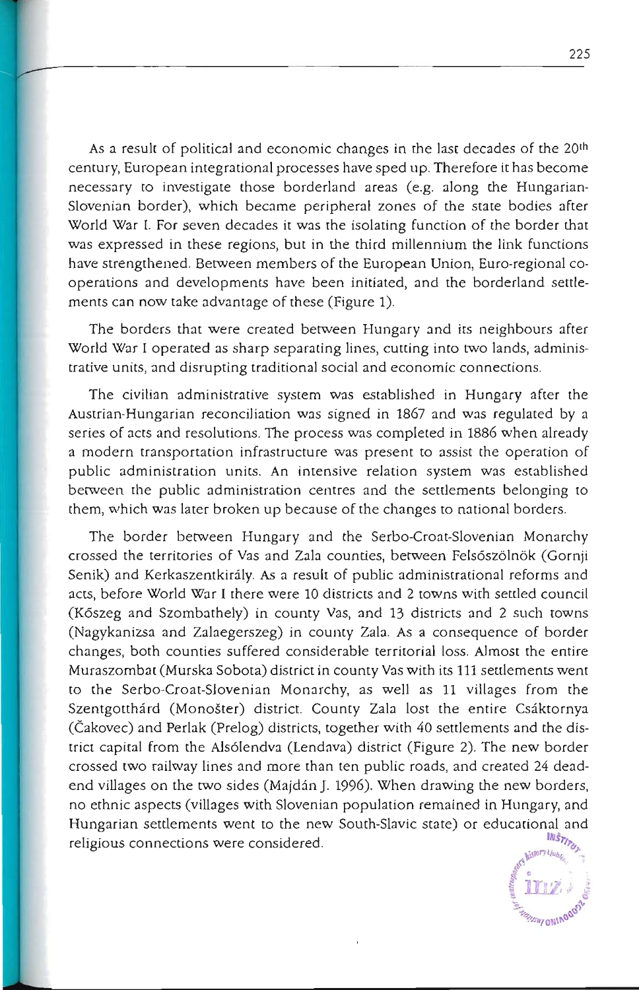As a result of political and economic changes in the last decades of the 20th century, European integrational processes have sped up. Therefore it has become necessary to investigate those borderland areas (e.g. along the Hungarian-Slovenian border), which became peripheral zones of the state bodies after World War I. For seven decades it was the isolating function of the border that was expressed in these regions, but in the third millennium the link functions have strengthened. Between members of the European Union, Euro-regional cooperations and developments have been initiated, and the borderland settlements can now take advantage of these (Figure 1).

The borders that were created between Hungary and its neighbours after **World War I operated as sharp separating lines, cutting into two lands, administrative units) and disrupting traditional social and economic connections.** 

The civilian administrative system was established in Hungary after the Austrian-Hungarian reconciliation was signed in 1867 and was regulated by a series of acts and resolutions. The process was completed in 1886 when already **a modern transportation infrastructure was present to assist the operation of public administration units. An intensive relation system was established**  between the public administration centres and the settlements belonging to them, which was later broken up because of the changes to national borders.

The border between Hungary and the Serbo-Croat-Slovenian Monarchy crossed the territories of Vas and Zala counties, between Felsoszolnok (Gornji Senik) and Kerkaszentkiraly. As a result of public administrational reforms and acts, before World War I there were 10 districts and 2 towns with settled council (Koszeg and Szombathely) in county Vas, and 13 districts and 2 such towns (Nagykanizsa and Zalaegerszeg) in county Zala. As a consequence of border changes, both counties suffered considerable territorial loss. Almost the entire Muraszombat (Murska Sobota) district in county Vas with its 111 settlements went to the Serbo-Croat-Slovenian Monarchy, as well as 11 villages from the Szentgotthárd (Monošter) district. County Zala lost the entire Csáktornya (Cakovec) and Perlak (Prelog) districts, together with 40 settlements and the district capital from the Als61endva (Lendava) district (Figure 2). The new border crossed two railway lines and more than ten public roads, and created 24 deadend villages on the two sides (Majdán J. 1996). When drawing the new borders, no ethnic aspects (villages with Slovenian population remained in Hungary, and Hungarian settlements went to the new South-Slavic state) or educational and<br> $\frac{m_{\tilde{s}}}{m_{\tilde{s}}}\frac{m_{\tilde{s}}}{m_{\tilde{s}}}\frac{m_{\tilde{s}}}{m_{\tilde{s}}}\frac{m_{\tilde{s}}}{m_{\tilde{s}}}\frac{m_{\tilde{s}}}{m_{\tilde{s}}}\frac{m_{\tilde{s}}}{m_{\tilde{s}}}\frac{m_{\tilde{s}}}{m_{\tilde{s}}}\frac{m_{\tilde{s}}}{m_{\tilde{s$ religious connections were considered.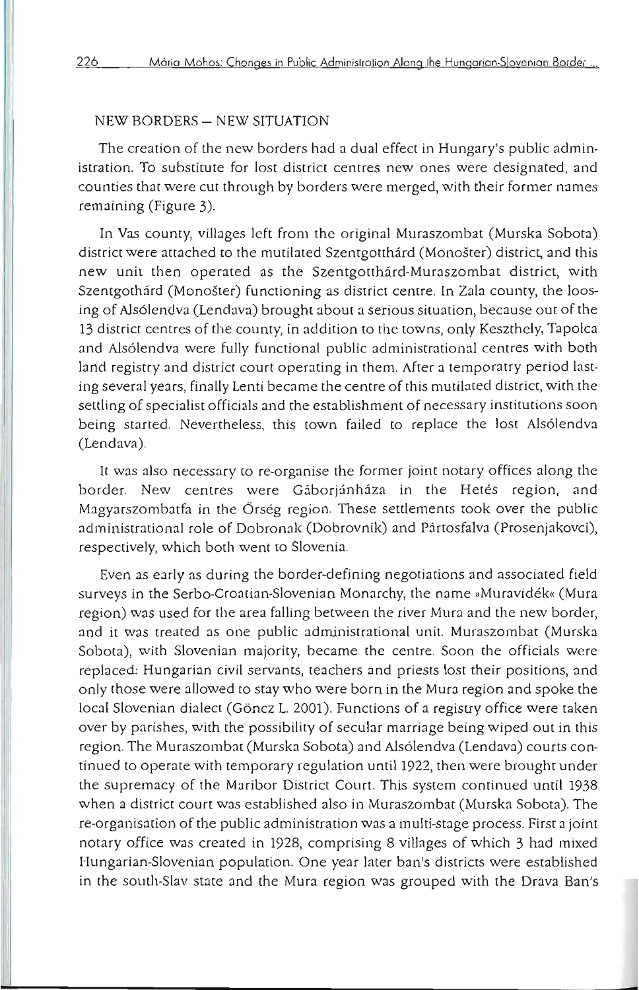#### NEW BORDERS - NEW SITUATION

The creation of the new borders had a dual effect in Hungary's public admin**istration. To substitute for lost district centres new ones were designated, and counties that were cut through by borders were merged, with their former names**  remaining (Figure 3).

**In** Vas county, villages left from the original Muraszombat (Murska Sobota) district were attached to the mutilated Szentgotthard (Monoster) district, and this new unit then operated as the Szentgotthard-Muraszombat district, with Szentgothard (Monoster) functioning as district centre. **In** Zala county, the loosing of A1s61endva (Lendava) brought about a serious situation, because out of the 13 district centres of the county, in addition to the towns, only Keszthely, TapoJca and A1s61endva were fully functional public administrational centres with both land registry and district court operating in them. After a temporatry period lasting several years, finally Lenti became the centre of this mutilated district, with the **settling of specialist officials and the establishment of necessary institutions soon**  being started. Nevertheless, this town failed to replace the lost A1s61endva (Lendava).

It was also necessary to re-organise the former joint notary offices along the border. New centres were Gáborjánháza in the Hetés region, and Magyarszombatfa in the Örség region. These settlements took over the public administrational role of Dobronak (Dobrovnik) and Partosfalva (Prosenjakovci), respectively, which both went to Slovenia.

Even as early as during the border-defining negotiations and associated field surveys in the Serbo-Croatian-Slovenian Monarchy, the name »Muravidék« (Mura region) was used for the area falling between the river Mura and the new border, **and it was treated as one public administrational unit. Muraszombat (Murska**  Sobota), with Slovenian majority, became the centre. Soon the officials were **replaced: Hungarian civil servants, teachers and priests lost their positions, and**  only those were allowed to stay who were born in the Mura region and spoke the local Slovenian dialect (Göncz L. 2001). Functions of a registry office were taken over by parishes, with the possibility of secular marriage being wiped out in this region. The Muraszombat (Murska Sobota) and Alsólendva (Lendava) courts continued to operate with temporary regulation until 1922, then were brought under the supremacy of the Maribor District Court. This system continued until 1938 when a district court was established also in Muraszombat (Murska Sobota). The **re-organisation of the public administration was a multi-stage process. First a joint**  notary office was created in 1928, comprising 8 villages of which 3 had mixed Hungarian-Slovenian population. One year later ban's districts were established in the south-Slav state and the Mura region was grouped with the Drava Ban's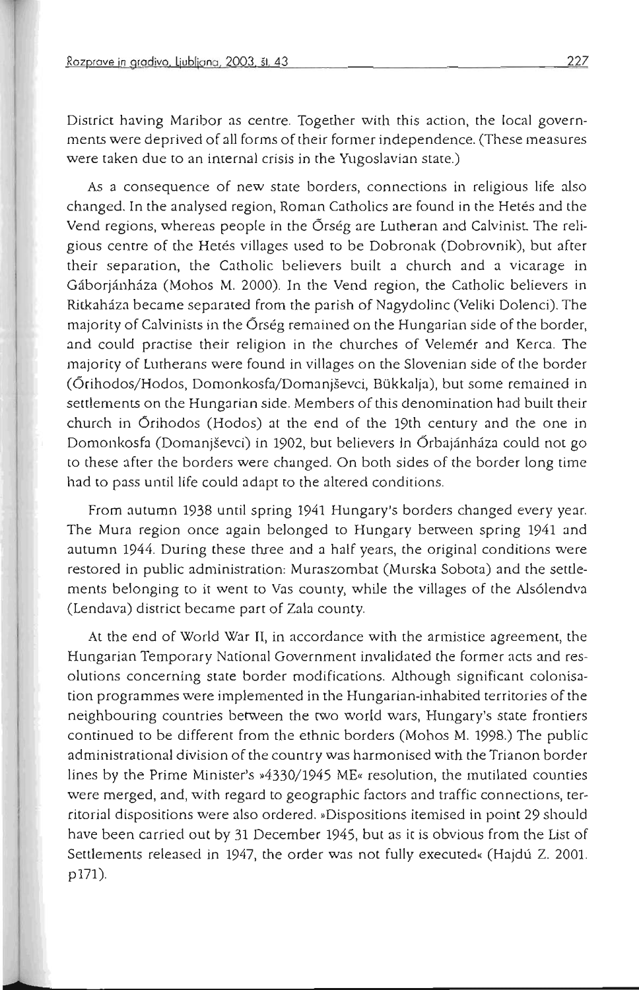**•** 

District having Maribor as centre. Together with this action, the local governments were deprived of all forms of their former independence. (These measures **were taken due to an internal crisis in the Yugoslavian state.)** 

As **a consequence of new state borders, connections in religious life also**  changed. In the analysed region, Roman Catholics are found in the Hetés and the Vend regions, whereas people in the Õrség are Lutheran and Calvinist. The religious centre of the Hetés villages used to be Dobronak (Dobrovník), but after their separation, the Catholic believers built a church and a Vicarage in Gaborjanhaza (Mohos M. 2000). In the Vend region, the Catholic believers in Rirkahaza became separated from the parish of Nagydolinc (Veliki Dolenci). The majority of Calvinists in the 6rseg remained on the Hungarian side of the border, and could practise their religion in the churches of Velemer and Kerca. The majority of Lutherans were found in villages on the Slovenian side of the border (6rihodos/ Hodos, Domonkosfa/ Domanjsevci, Bukkalja), but some remained in settlements on the Hungarian side. Members of this denomination had built their church in 6rihodos (Hodos) at the end of the 19th century and the one in Domonkosfa (Domanjševci) in 1902, but believers in Őrbajánháza could not go to these after the borders were changed. On both sides of the border long time had to pass until life could adapt to the altered conditions.

From autumn 1938 until spring 1941 Hungary's borders changed every year. The Mura region once again belonged to Hungary between spring 1941 and autumn 1944. During these three and a half years, the original conditions were restored in public administration, Muraszombat (Murska Sobota) and the settlements belonging to it went to Vas county, while the villages of the Als6lendva (Lendava) district became part of Zala county.

At the end of World War II, in accordance with the armistice agreement, the **Hungarian Temporary National Government invalidated the former acts and resolutions concerning state border modifications. Although significant colonisa**tion programmes were implemented in the Hungarian-inhabited territories of the neighbouring countries between the two world wars, Hungary's state frontiers continued to be different from the ethnic borders (Mohos M. 1998.) The public **administrational division of the country was harmonised with the Trianon borde r**  lines by the Prime Minister's  $*4330/1945$  ME<sub>«</sub> resolution, the mutilated counties **were merged, and, with regard to geographic factors and traffic connections, ter**ritorial dispositions were also ordered. »Dispositions itemised in point 29 should have been carried out by 31 December 1945, but as it is obvious from the List of Settlements released in 1947, the order was not fully executed« (Hajdú Z. 2001. p171)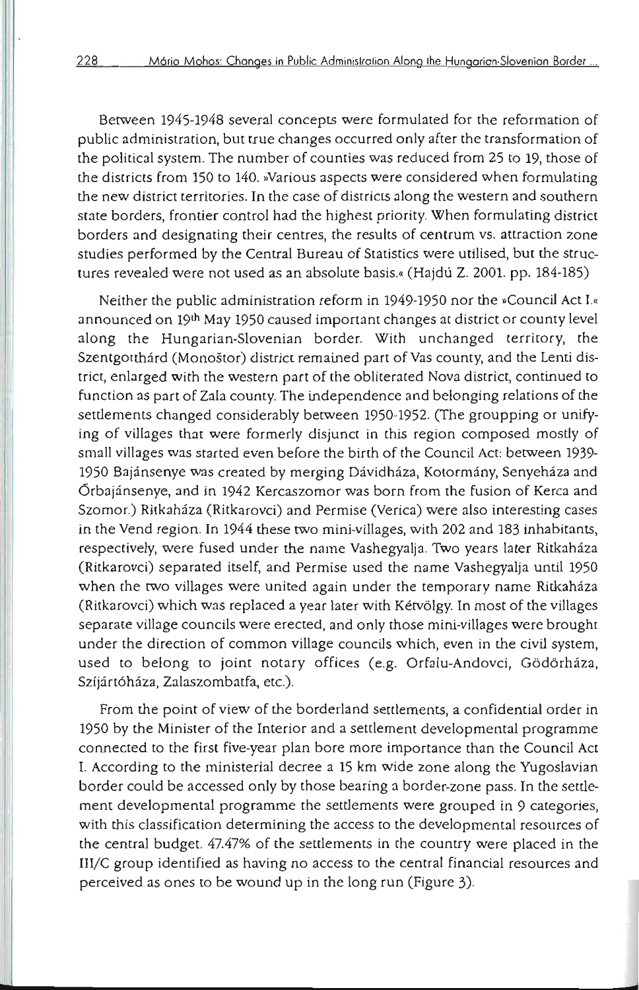Between 1945-1948 several concepts were formulated for the reformation of public administration, but true changes occurred only after the transformation of the political system. The number of counties was reduced from 25 to 19, those of the districts from 150 to 140. »Various aspects were considered when formulating the new district territories. In the case of districts along the western and southern state borders, frontier control had the highest priority. When formulating district **borders and designating their centres, the results of centrum vs. attraction zone**  studies performed by the Central Bureau of Statistics were utilised, but the structures revealed were not used as an absolute basis.« (Hajdú Z. 2001. pp. 184-185)

Neither the public administration reform in 1949-1950 nor the »Council Act I.« announced on 19th May 1950 caused important changes at district or county level along the Hungarian-Slovenian border. With unchanged territory, the Szentgotthárd (Monoštor) district remained part of Vas county, and the Lenti district, enlarged with the western part of the obliterated Nova district, continued to function as part of Zala county. The independence and belonging relations of the settlements changed considerably between 1950-1952. (The groupping or unifying of villages that were formerly disjunct in this region composed mostly of small villages was started even before the birth of the Council Act, between 1939- 1950 Bajánsenye was created by merging Dávidháza, Kotormány, Senyeháza and 6rbajansenye, and in 1942 Kercaszomor was born from the fusion of Kerca and Szomor.) Ritkaháza (Ritkarovci) and Permise (Verica) were also interesting cases in the Vend region. In 1944 these two mini-villages, with 202 and 183 inhabitants, respectively, were fused under the name Vashegyalja. Two years later Ritkahaza (Ritkarovci) separated itself, and Permise used the name Vashegyalja until 1950 when the two villages were united again under the temporary name Ritkaháza (Ritkarovci) which was replaced a year later with Ketv6lgy. In most of the villages separate village councils were erected, and only those mini-villages were brought under the direction of common village councils which, even in the civil system, used to belong to joint notary offices (e.g. Orfalu-Andovci, Gödörháza, Szíjártóháza, Zalaszombatfa, etc.).

From the point of view of the borderland settlements, a confidential order in 1950 by the Minister of the Interior and a settlement developmental programme connected to the first five-year plan bore more importance than the Council Act I. According to the ministerial decree a 15 km wide zone along the Yugoslavian border could be accessed only by those bearing a border-zone pass. In the settlement developmental programme the settlements were grouped in 9 categories, with this classification determining the access to the developmental resources of the central budget. 47.47% of the settlements in the country were placed in the *I11IC* group identified as having no access to the central financial resources and perceived as ones to be wound up in the long run (Figure 3).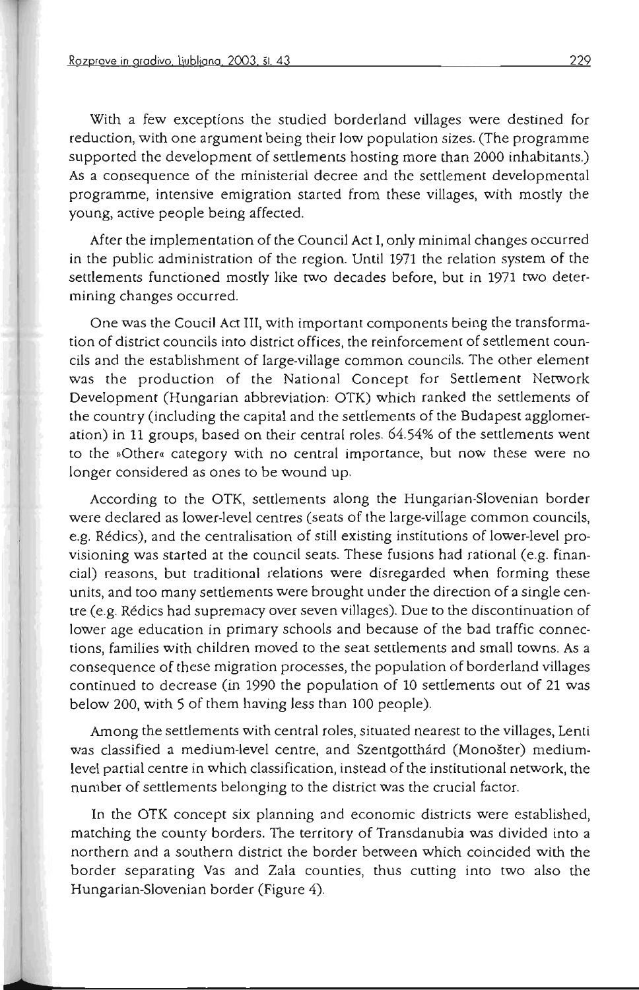With a few exceptions the studied borderland villages were destined for reduction, with one argument being their low population sizes. (The programme supported the development of settlements hosting more than 2000 inhabitants.) As a consequence of the ministerial decree and the settlement developmental programme, intensive emigration started from these villages, with mostly the young, active people being affected.

After the implementation of the Council Act I, only minimal changes occurred in the public administration of the region. Until 1971 the relation system of the settlements functioned mostly like two decades before, but in 1971 two determining changes occurred.

One was the Coucil Act III, with important components being the transformation of district councils into district offices, the reinforcement of settlement councils and the establishment of large-village common councils. The other element was the production of the National Concept for Settlement Network Development (Hungarian abbreviation: OTK) which ranked the settlements of the country (including the capital and the settlements of the Budapest agglomeration) in 11 groups, based on their central roles. 64.54% of the settlements went to the »Other« category with no central importance, but now these were no longer considered as ones to be wound up.

According to the OTK, settlements along the Hungarian-Slovenian border were declared as lower-level centres (seats of the large-village common councils, e.g. Redics), and the centralisation of still existing institutions of lower-level provisioning was started at the council seats. These fusions had rational (e.g. financial) reasons, but traditional relations were disregarded when forming these units, and too many settlements were brought under the direction of a single centre (e.g. Redics had supremacy over seven villages). Due to the discontinuation of lower age education in primary schools and because of the bad traffic connections, families with children moved to the seat settlements and small towns. As a consequence of these migration processes, the population of borderland villages continued to decrease (in 1990 the population of 10 settlements out of 21 was below 200, with 5 of them having less than 100 people).

Among the settlements with central roles, situated nearest to the villages, Lenti was classified a medium-level centre, and Szentgotthárd (Monošter) medium**level partial centre in which classification, instead of the institutional network, the**  number of settlements belonging to the district was the crucial factor.

In the OTK concept six planning and economic districts were established, matching the county borders. The territory of Transdanubia was divided into a northern and a southern district the border between which coincided with the border separating Vas and Zala counties, thus cutting into two also the Hungarian-Slovenian border (Figure 4).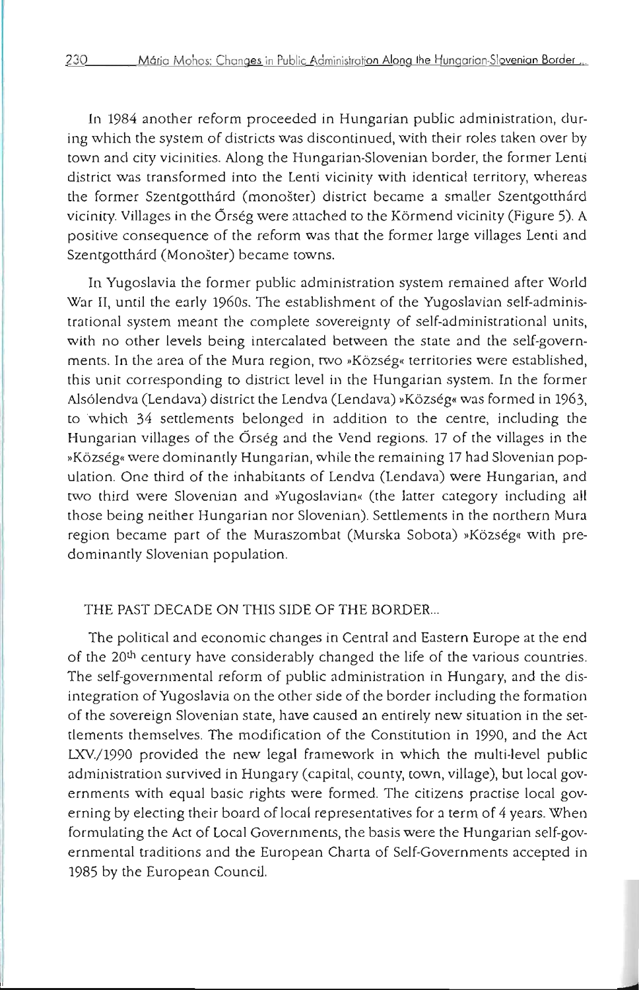In 1984 another reform proceeded in Hungarian public administration, during which the system of districts was discontinued, with their roles taken over by **town and city vicinities. Along the Hungarian-Slovenian border, the former Lenti district was transformed into the Lenti vicinity with identical territory, whereas**  the former Szentgotthárd (monošter) district became a smaller Szentgotthárd vicinity. Villages in the 6rseg were attached to the Kbrmend vicinity (Figure 5). A positive consequence of the reform was that the former large Villages Lenti and Szentgotthárd (Monošter) became towns.

In Yugoslavia the former public administration system remained after World War II, until the early 1960s. The establishment of the Yugoslavian self-adminis- **(rational system meant the complete sovereignty of self-administrational units,**  with no other levels being intercalated between the state and the self-govern**ments. In the area of the Mura region, (WO IIKozseg« territories were established, this unit corresponding to district level in the Hungarian system. In the former**  Alsólendva (Lendava) district the Lendva (Lendava) »Község« was formed in 1963, to which 34 settlements belonged in addition to the centre, including the Hungarian villages of the 6rseg and the Vend regions. 17 of the villages in the »Község« were dominantly Hungarian, while the remaining 17 had Slovenian population. One third of the inhabitants of Lendva (Lendava) were Hungarian, and two third were Slovenian and »Yugoslavian« (the latter category including all **those being neither Hungarian nor Slovenian). Settlements in the northern Mura**  region became part of the Muraszombat (Murska Sobota) »Község« with predominantly Slovenian population.

### THE PAST DECADE ON THIS SIDE OF THE BORDER...

The political and economic changes in Central and Eastern Europe at the end of the 20<sup>th</sup> century have considerably changed the life of the various countries. The self-governmental reform of public administration in Hungary, and the disintegration of Yugoslavia on the other side of the border including the formation **of the sovereign Slovenian state, have caused an entirely new situation in the set**tlements themselves. The modification of the Constitution in 1990, and the Act LXV./1990 provided the new legal framework in which the multi-level public administration survived in Hungary (capital, county, town, Village), but local governments with equal basic rights were formed. The citizens practise local governing by electing their board of local representatives for a term of 4 years. When formulating the Act of Local Governments, the basis were the Hungarian self-governmental traditions and the European Charta of Self-Governments accepted in 1985 by the European Council.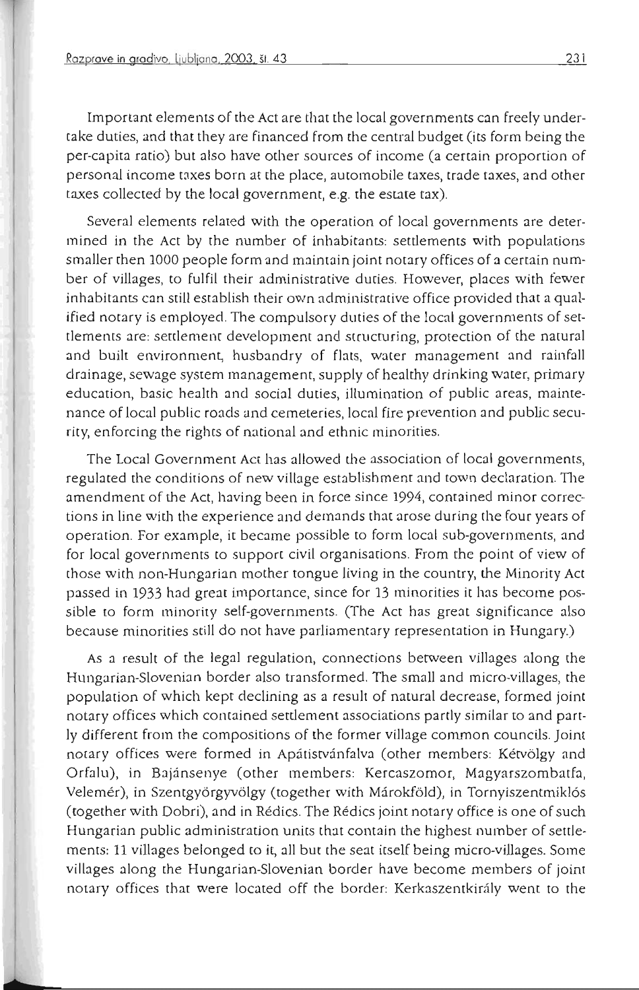Important elements of the Act are that the local governments can freely undertake duties, and that they are financed from the central budget (its form being the per-capita ratio) but also have other sources of income (a certain proportion of **personal income taxes born at the place, automobile taxes, trade taxes, and other**  taxes collected by the local government, e.g. the estate tax).

**Several elements related with the operation of local governments are deter**mined in the Act by the number of inhabitants: settlements with populations smaller then 1000 people form and maintain joint notary offices of a certain number of villages, to fulfil their administrative duties. However, places with fewer inhabitants can still establish their own administrative office provided that a qualified notary is employed. The compulsory duties of the local governments of set**tlements are: settlement development and structuring, protection of the natural**  and built environment, husbandry of flats, water management and rainfall drainage, sewage system management, supply of healthy drinking water, primary **education, basic health and social duties, illumination of public areas, maintenance of local public roads and cemeteries, local fire prevention and public security, enforcing the rights of national and ethnic minorities.** 

The Local Government Act has allowed the association of local governments, regulated the conditions of new village establishment and town declaration. The **amendment of the Act, having been in force since 1994, contained minor corrections in line with the experience and demands that arose during the four years of operation. For example, it became possible to form local sub-governments, and for local governments to support civil organisations. From the point of view of those with non-Hungarian mother tongue living in the country, the Minority Act**  passed in 1933 had great importance, since for 13 minorities it has become possible to form minority self-governments. (The Act has great significance also **because minorities still do not have parliamentary representation in Hungary.)** 

As a result of the legal regulation, connections between villages along the Hungarian-Slovenian border also transformed. The small and micro-villages, the population of which kept declining as a result of natural decrease, formed joint **notary offices which contained settlement associations partly similar to and part**ly different from the compositions of the former village common councils. Joint notary offices were formed in Apatistvanfalva (other members: Ketvolgy and Orfalu), in Bajansenye (other members: Kercaszomor, Magyarszombatfa, Velemér), in Szentgyörgyvölgy (together with Márokföld), in Tornyiszentmiklós (together with Dobri), and in Redics. The Redics joint notary office is one of such Hungarian public administration units that contain the highest number of settlements: 11 villages belonged to it, all but the seat itself being micro-villages. Some Villages along the Hungarian-Slovenian border have become members of joint notary offices that were located off the border: Kerkaszentkirály went to the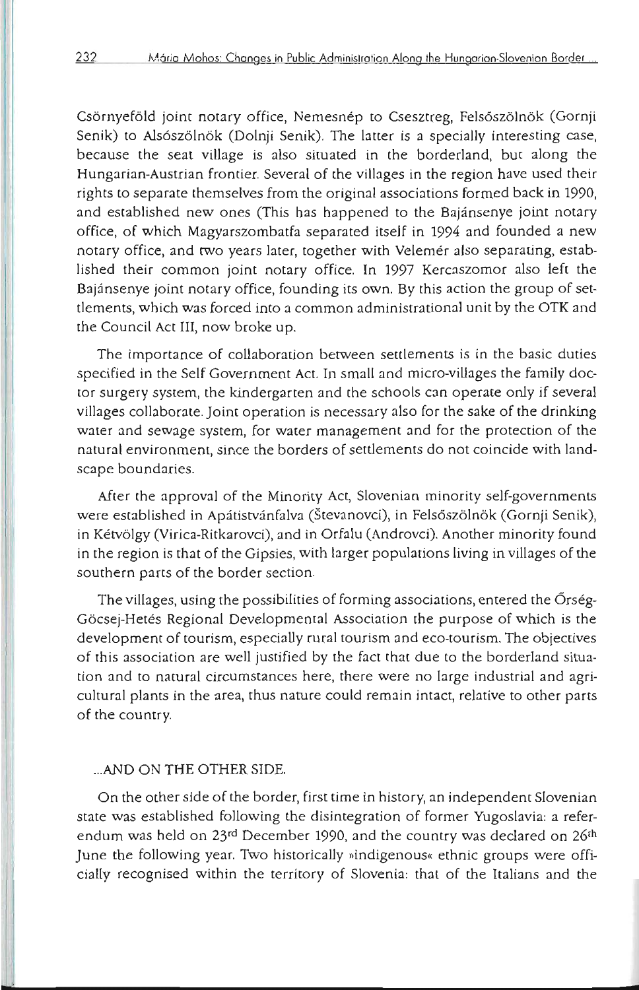Csörnyeföld joint notary office, Nemesnép to Csesztreg, Felsőszölnök (Gornji Senik) to Alsószölnök (Dolnji Senik). The latter is a specially interesting case, because the seat village is also situated in the borderland, but along the Hungarian-Austrian frontier. Several of the villages in the region have used their rights to separate themselves from the original associations formed back in 1990, and established new ones (This has happened to the Bajánsenye joint notary office, of which Magyarszombatfa separated itself in 1994 and founded a new notary office, and two years later, together with Velemer also separating, established their common joint notary office. In 1997 Kercaszomor also left the Bajansenye joint notary office, founding its own. By this action the group of settlements, which was forced into a common administrational unit by the OTK and the Council Act III, now broke up.

The importance of collaboration between settlements is in the basic duties specified in the Self Government Act. In small and micro-villages the family doctor surgery system, the kindergarten and the schools can operate only if several villages collaborate. JOint operation is necessary also for the sake of the drinking **water and sewage system, for water management and for the protection of the natural environment, since the borders of settlements do not coincide with land**scape boundaries.

After the approval of the Minority Act, Slovenian minority self-governments were established in Apátistvánfalva (Števanovci), in Felsőszölnök (Gornji Senik), in Ketvblgy (Virica-Ritkarovci), and in Orfalu (Androvci). Another minority found in the region is that of the Gipsies, with larger populations living in villages of the southern parts of the border section.

The villages, using the possibilities of forming associations, entered the Orség-Göcsej-Hetés Regional Developmental Association the purpose of which is the development of tourism, especially rural tourism and eco-tourism. The objectives of this association are well justified by the fact that due to the borderland situa**tion and to natural circumstances here, there were no large industrial and agricultural plants in the area, thus nature could remain intact, relative to other parts**  of the country.

#### ... AND ON THE OTHER SIDE.

On the other side of the border, first time in history, an independent Slovenian state was established following the disintegration of former Yugoslavia: a referendum was held on 23<sup>rd</sup> December 1990, and the country was declared on 26<sup>th</sup> June the following year. Two historically »indigenous« ethnic groups were officially recognised within the territory of Slovenia: that of the Italians and the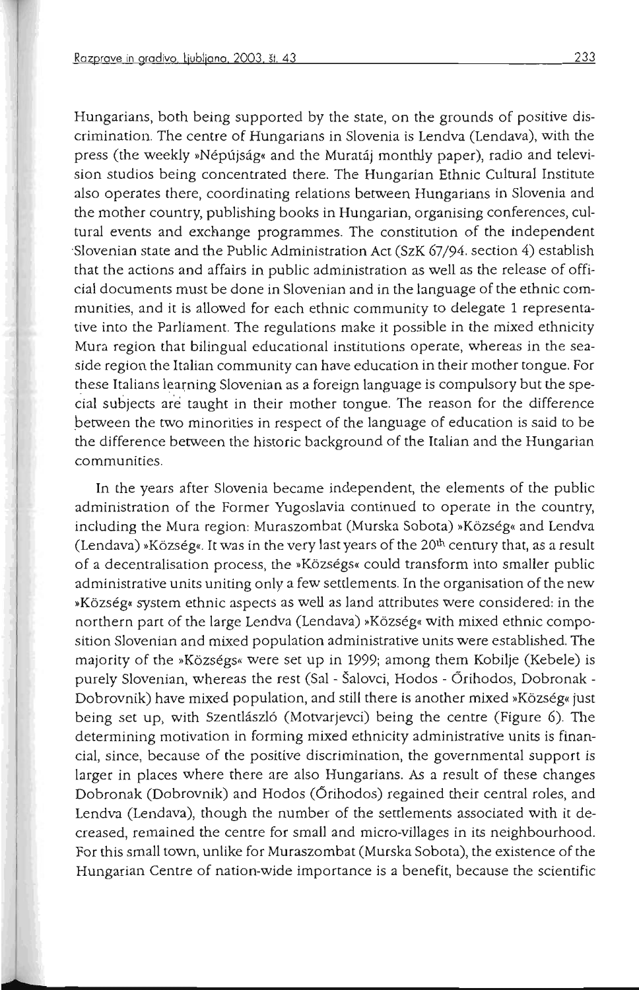Hungarians, both being supported by the state, on the grounds of positive discrimination. The centre of Hungarians in Slovenia is Lendva (Lendava), with the press (the weekly »Népújság« and the Muratáj monthly paper), radio and television studios being concentrated there. The Hungarian Ethnic Cultural Institute **also operates there, coordinating relations between Hungarians in Slovenia and**  the mother country, publishing books in Hungarian, organising conferences, cultural events and exchange programmes. The constitution of the independent 'Slovenian state and the Public Administration Act (SzK 67/94. section 4) establish that the actions and affairs in public administration as well as the release of official documents must be done in Slovenian and in the language of the ethnic communities, and it is allowed for each ethnic community to delegate 1 representative into the Parliament. The regulations make it possible in the mixed ethnicity **Mura region that bilingual educational institutions operate, whereas in the sea**side region the Italian community can have education in their mother tongue. For these Italians learning Slovenian as a foreign language is compulsory but the spe cial subjects are taught in their mother tongue. The reason for the difference between the two minorities in respect of the language of education is said to be the difference between the historic background of the Italian and the Hungarian **communities.** 

In the years after Slovenia became independent, the elements of the public **administration of the Former Yugoslavia continued to operate in the country,**  including the Mura region: Muraszombat (Murska Sobota) »Község« and Lendva (Lendava) »Község«. It was in the very last years of the 20<sup>th</sup> century that, as a result of a decentralisation process, the »Községs« could transform into smaller public **administrative units uniting only a few settlements. [n the organisation of the new »Kozseg« system ethnic aspects as well as land attributes were considered: in the**  northern part of the large Lendva (Lendava) »Község« with mixed ethnic composition Slovenian and mixed population administrative units were established. The majority of the »Községs« were set up in 1999; among them Kobilje (Kebele) is purely Slovenian, whereas the rest (Sal - Šalovci, Hodos - Őrihodos, Dobronak -Dobrovnik) have mixed population, and still there is another mixed »Község« just being set up, with Szentlászló (Motvarjevci) being the centre (Figure 6). The **determining motivation in forming mixed ethnicity administrative units is finan**cial, since, because of the positive discrimination, the governmental support is larger in places where there are also Hungarians. As a result of these changes Dobronak (Dobrovnik) and Hodos (Orihodos) regained their central roles, and Lendva (Lendava), though the number of the settlements associated with it decreased, remained the centre for small and micro-villages in its neighbourhood. For this small town, unlike for Muraszombat (Murska Sobota), the existence of the **Hungarian Centre of nation-wide importance is a benefit, because the scientific**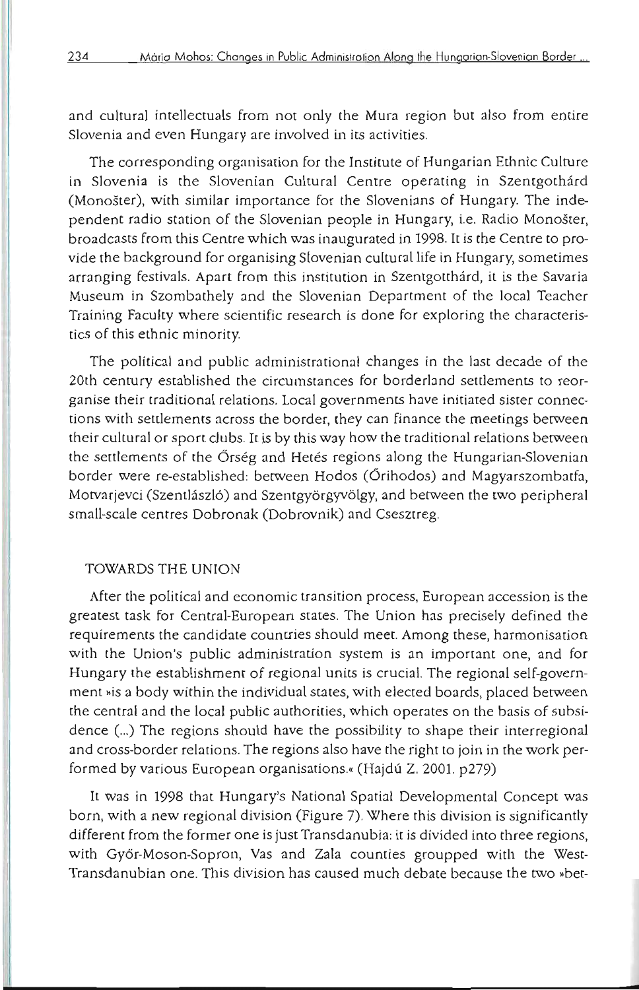and cultural intellectuals from not only the Mura region but also from entire **Slovenia and even Hungary are involved in its activities.** 

The corresponding organisation for the Institute of Hungarian Ethnic Culture in Slovenia is the Slovenian Cultural Centre operating in Szentgothárd (Monoster), with similar importance for the Slovenians of Hungary. The independent radio station of the Slovenian people in Hungary, i.e. Radio Monoster, broadcasts from this Centre which was inaugurated in 1998. It is the Centre to provide the background for organising Slovenian cultural life in Hungary, sometimes arranging festivals. Apart from this institution in Szentgotthard, it is the Savaria Museum in Szombathely and the Slovenian Department of the local Teacher Training Faculty where scientific research is done for exploring the characteristics of this ethnic minority.

The political and public administrational changes in the last decade of the 20th century established the circumstances for borderland settlements to reor**ganise their traditional relations. Local governments have initiated sister connec**tions with settlements across the border, they can finance the meetings berween their cultural or sport clubs. It is by this way how the traditional relations berween the settlements of the Örség and Hetés regions along the Hungarian-Slovenian border were re-established: between Hodos (Őrihodos) and Magyarszombatfa, Motvarjevci (Szentlászló) and Szentgyörgyvölgy, and between the two peripheral small-scale centres Dobronak (Dobrovnik) and Csesztreg.

#### TOWARDS THE UNION

**After the political and economic transition process, European accession is the**  greatest task for Central-European states. The Union has precisely defined the **requirements the candidate countries should meet. Among these, harmonisation with the Union's public administration system is an important one, and for**  Hungary the establishment of regional units is crucial. The regional self-government »is a body within the individual states, with elected boards, placed between the central and the local public authorities, which operates on the basis of subsidence (...) The regions should have the possibility to shape their interregional and cross-border relations. The regions also have the right to join in the work performed by various European organisations.« (Hajdú Z. 2001. p279)

It was in 1998 that Hungary's National Spatial Developmental Concept was born, with a new regional division (Figure 7). Where this division is significantly different from the former one is just Transdanubia, it is divided into three regions, with Győr-Moson-Sopron, Vas and Zala counties groupped with the West-Transdanubian one. This division has caused much debate because the two »bet